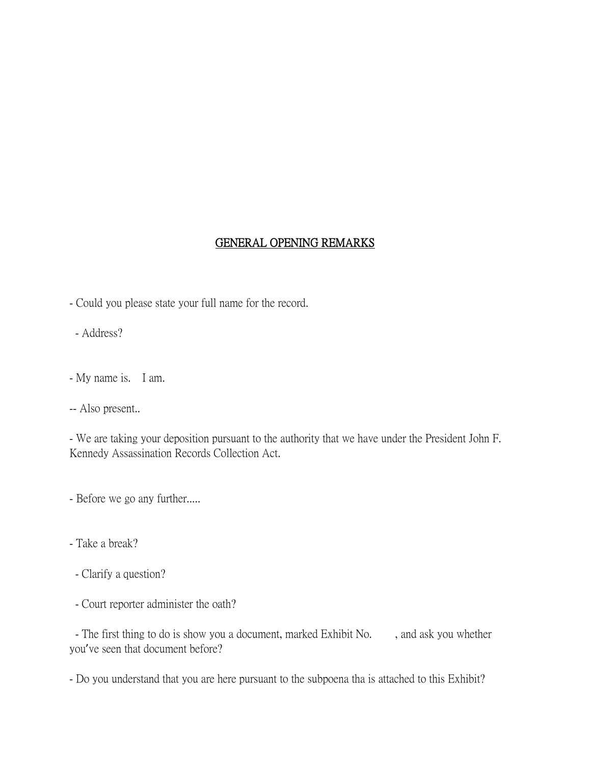# GENERAL OPENING REMARKS

- Could you please state your full name for the record.
- Address?
- My name is. I am.
- -- Also present..

- We are taking your deposition pursuant to the authority that we have under the President John F. Kennedy Assassination Records Collection Act.

- Before we go any further.....
- Take a break?
- Clarify a question?
- Court reporter administer the oath?

- The first thing to do is show you a document, marked Exhibit No. , and ask you whether you've seen that document before?

- Do you understand that you are here pursuant to the subpoena tha is attached to this Exhibit?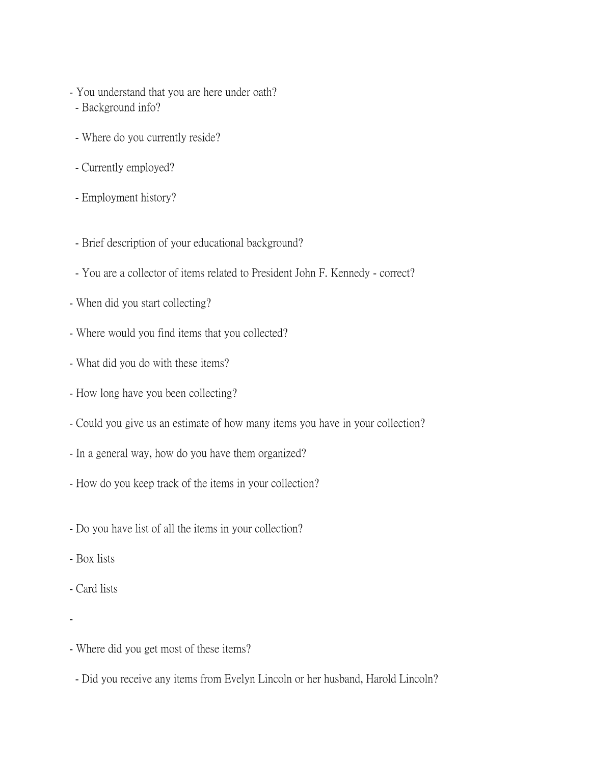- You understand that you are here under oath?
- Background info?
- Where do you currently reside?
- Currently employed?
- Employment history?
- Brief description of your educational background?
- You are a collector of items related to President John F. Kennedy correct?
- When did you start collecting?
- Where would you find items that you collected?
- What did you do with these items?
- How long have you been collecting?
- Could you give us an estimate of how many items you have in your collection?
- In a general way, how do you have them organized?
- How do you keep track of the items in your collection?
- Do you have list of all the items in your collection?
- Box lists
- Card lists
- -
- Where did you get most of these items?
- Did you receive any items from Evelyn Lincoln or her husband, Harold Lincoln?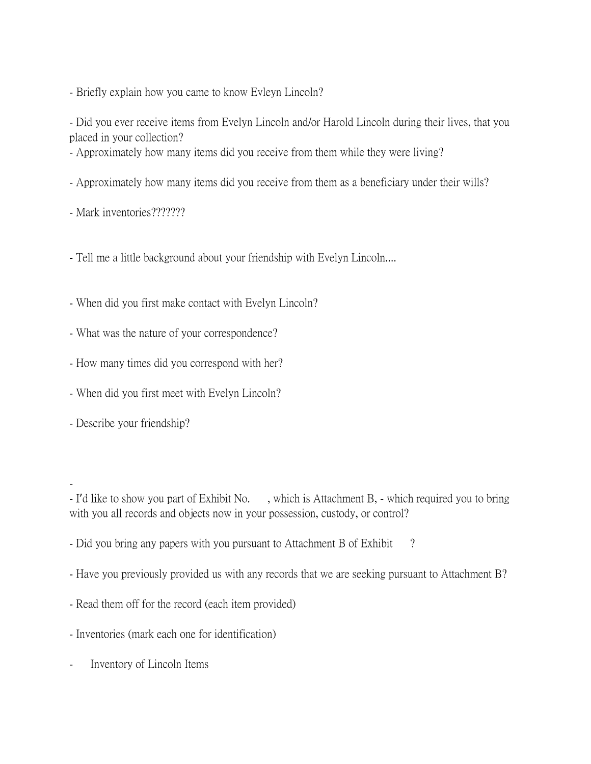- Briefly explain how you came to know Evleyn Lincoln?

- Did you ever receive items from Evelyn Lincoln and/or Harold Lincoln during their lives, that you placed in your collection?

- Approximately how many items did you receive from them while they were living?
- Approximately how many items did you receive from them as a beneficiary under their wills?
- Mark inventories???????

- Tell me a little background about your friendship with Evelyn Lincoln....

- When did you first make contact with Evelyn Lincoln?
- What was the nature of your correspondence?
- How many times did you correspond with her?
- When did you first meet with Evelyn Lincoln?
- Describe your friendship?

-

- I'd like to show you part of Exhibit No. , which is Attachment B, which required you to bring with you all records and objects now in your possession, custody, or control?
- Did you bring any papers with you pursuant to Attachment B of Exhibit ?
- Have you previously provided us with any records that we are seeking pursuant to Attachment B?
- Read them off for the record (each item provided)
- Inventories (mark each one for identification)
- Inventory of Lincoln Items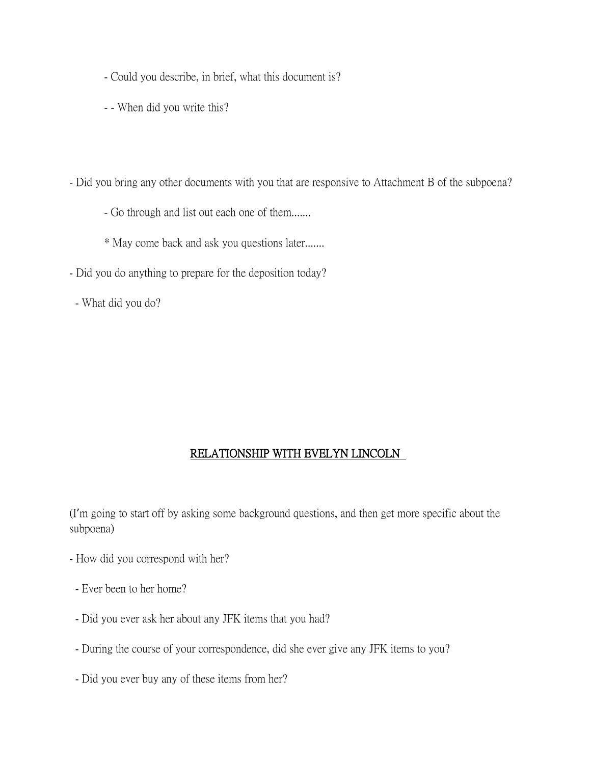- Could you describe, in brief, what this document is?
- - When did you write this?
- Did you bring any other documents with you that are responsive to Attachment B of the subpoena?
	- Go through and list out each one of them.......
	- \* May come back and ask you questions later.......
- Did you do anything to prepare for the deposition today?
- What did you do?

## RELATIONSHIP WITH EVELYN LINCOLN

(I'm going to start off by asking some background questions, and then get more specific about the subpoena)

- How did you correspond with her?
- Ever been to her home?
- Did you ever ask her about any JFK items that you had?
- During the course of your correspondence, did she ever give any JFK items to you?
- Did you ever buy any of these items from her?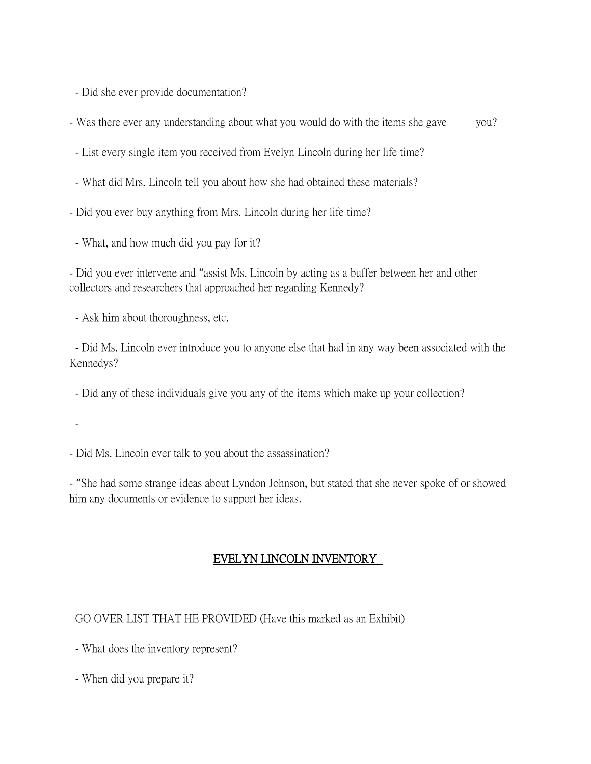- Did she ever provide documentation?

- Was there ever any understanding about what you would do with the items she gave you?

- List every single item you received from Evelyn Lincoln during her life time?

- What did Mrs. Lincoln tell you about how she had obtained these materials?

- Did you ever buy anything from Mrs. Lincoln during her life time?

- What, and how much did you pay for it?

- Did you ever intervene and "assist Ms. Lincoln by acting as a buffer between her and other collectors and researchers that approached her regarding Kennedy?

- Ask him about thoroughness, etc.

- Did Ms. Lincoln ever introduce you to anyone else that had in any way been associated with the Kennedys?

- Did any of these individuals give you any of the items which make up your collection?

-

- Did Ms. Lincoln ever talk to you about the assassination?

- "She had some strange ideas about Lyndon Johnson, but stated that she never spoke of or showed him any documents or evidence to support her ideas.

# EVELYN LINCOLN INVENTORY

GO OVER LIST THAT HE PROVIDED (Have this marked as an Exhibit)

- What does the inventory represent?

- When did you prepare it?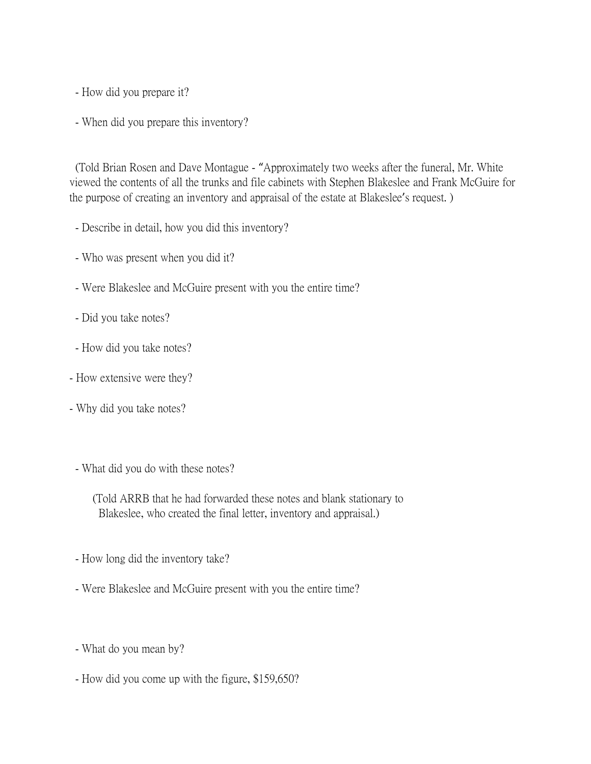- How did you prepare it?

- When did you prepare this inventory?

(Told Brian Rosen and Dave Montague - "Approximately two weeks after the funeral, Mr. White viewed the contents of all the trunks and file cabinets with Stephen Blakeslee and Frank McGuire for the purpose of creating an inventory and appraisal of the estate at Blakeslee's request. )

- Describe in detail, how you did this inventory?

- Who was present when you did it?

- Were Blakeslee and McGuire present with you the entire time?

- Did you take notes?

- How did you take notes?

- How extensive were they?

- Why did you take notes?

- What did you do with these notes?

 (Told ARRB that he had forwarded these notes and blank stationary to Blakeslee, who created the final letter, inventory and appraisal.)

- How long did the inventory take?

- Were Blakeslee and McGuire present with you the entire time?

- What do you mean by?

- How did you come up with the figure, \$159,650?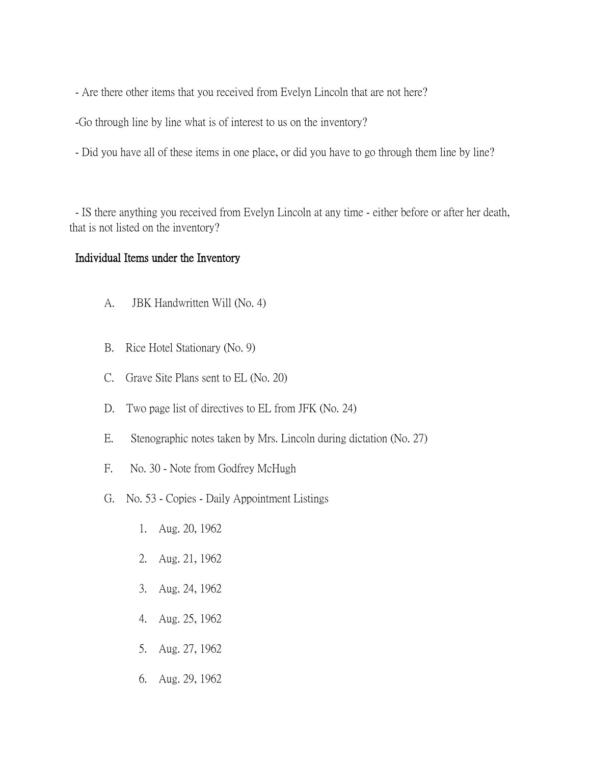- Are there other items that you received from Evelyn Lincoln that are not here?

-Go through line by line what is of interest to us on the inventory?

- Did you have all of these items in one place, or did you have to go through them line by line?

- IS there anything you received from Evelyn Lincoln at any time - either before or after her death, that is not listed on the inventory?

### Individual Items under the Inventory

- A. JBK Handwritten Will (No. 4)
- B. Rice Hotel Stationary (No. 9)
- C. Grave Site Plans sent to EL (No. 20)
- D. Two page list of directives to EL from JFK (No. 24)
- E. Stenographic notes taken by Mrs. Lincoln during dictation (No. 27)
- F. No. 30 Note from Godfrey McHugh
- G. No. 53 Copies Daily Appointment Listings
	- 1. Aug. 20, 1962
	- 2. Aug. 21, 1962
	- 3. Aug. 24, 1962
	- 4. Aug. 25, 1962
	- 5. Aug. 27, 1962
	- 6. Aug. 29, 1962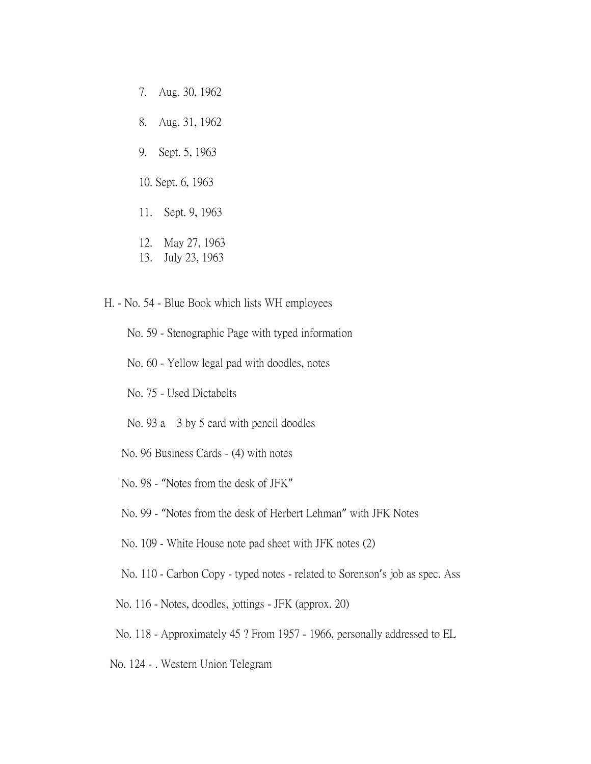- 7. Aug. 30, 1962
- 8. Aug. 31, 1962
- 9. Sept. 5, 1963
- 10. Sept. 6, 1963
- 11. Sept. 9, 1963
- 12. May 27, 1963
- 13. July 23, 1963
- H. No. 54 Blue Book which lists WH employees
	- No. 59 Stenographic Page with typed information
	- No. 60 Yellow legal pad with doodles, notes
	- No. 75 Used Dictabelts
	- No. 93 a 3 by 5 card with pencil doodles
	- No. 96 Business Cards (4) with notes
	- No. 98 "Notes from the desk of JFK"
	- No. 99 "Notes from the desk of Herbert Lehman" with JFK Notes
	- No. 109 White House note pad sheet with JFK notes (2)
	- No. 110 Carbon Copy typed notes related to Sorenson's job as spec. Ass
	- No. 116 Notes, doodles, jottings JFK (approx. 20)
	- No. 118 Approximately 45 ? From 1957 1966, personally addressed to EL
- No. 124 . Western Union Telegram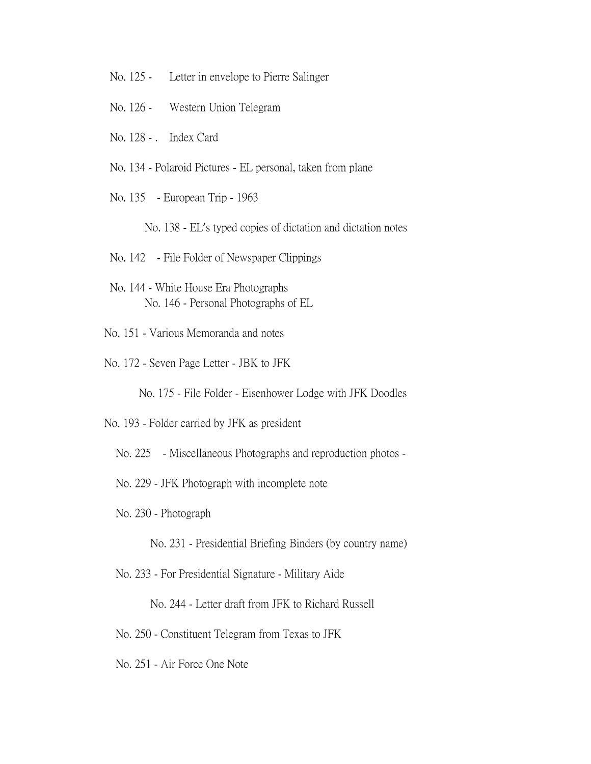- No. 125 Letter in envelope to Pierre Salinger
- No. 126 Western Union Telegram
- No. 128 . Index Card
- No. 134 Polaroid Pictures EL personal, taken from plane
- No. 135 European Trip 1963
	- No. 138 EL's typed copies of dictation and dictation notes
- No. 142 File Folder of Newspaper Clippings
- No. 144 White House Era Photographs No. 146 - Personal Photographs of EL
- No. 151 Various Memoranda and notes
- No. 172 Seven Page Letter JBK to JFK

No. 175 - File Folder - Eisenhower Lodge with JFK Doodles

- No. 193 Folder carried by JFK as president
	- No. 225 Miscellaneous Photographs and reproduction photos -
	- No. 229 JFK Photograph with incomplete note
	- No. 230 Photograph
		- No. 231 Presidential Briefing Binders (by country name)
	- No. 233 For Presidential Signature Military Aide
		- No. 244 Letter draft from JFK to Richard Russell
	- No. 250 Constituent Telegram from Texas to JFK
	- No. 251 Air Force One Note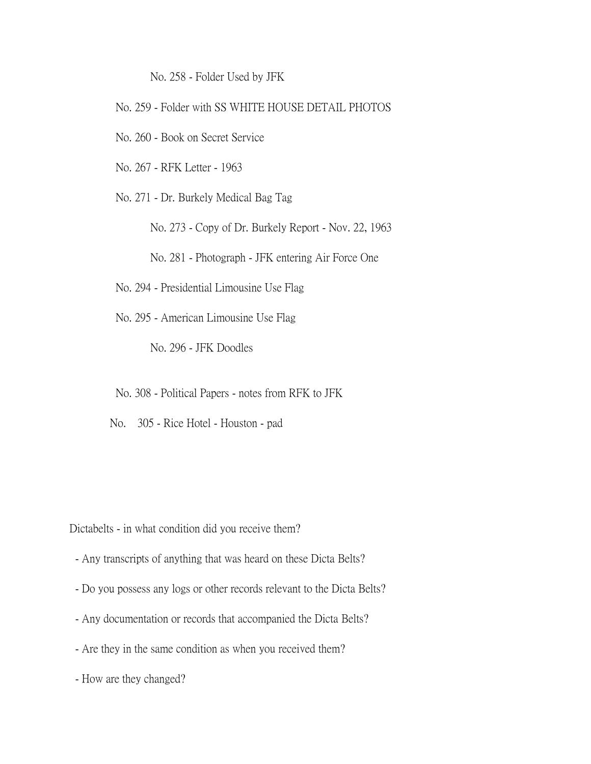No. 258 - Folder Used by JFK

- No. 259 Folder with SS WHITE HOUSE DETAIL PHOTOS
- No. 260 Book on Secret Service
- No. 267 RFK Letter 1963

No. 271 - Dr. Burkely Medical Bag Tag

No. 273 - Copy of Dr. Burkely Report - Nov. 22, 1963

No. 281 - Photograph - JFK entering Air Force One

- No. 294 Presidential Limousine Use Flag
- No. 295 American Limousine Use Flag

No. 296 - JFK Doodles

No. 308 - Political Papers - notes from RFK to JFK

No. 305 - Rice Hotel - Houston - pad

Dictabelts - in what condition did you receive them?

- Any transcripts of anything that was heard on these Dicta Belts?
- Do you possess any logs or other records relevant to the Dicta Belts?
- Any documentation or records that accompanied the Dicta Belts?
- Are they in the same condition as when you received them?
- How are they changed?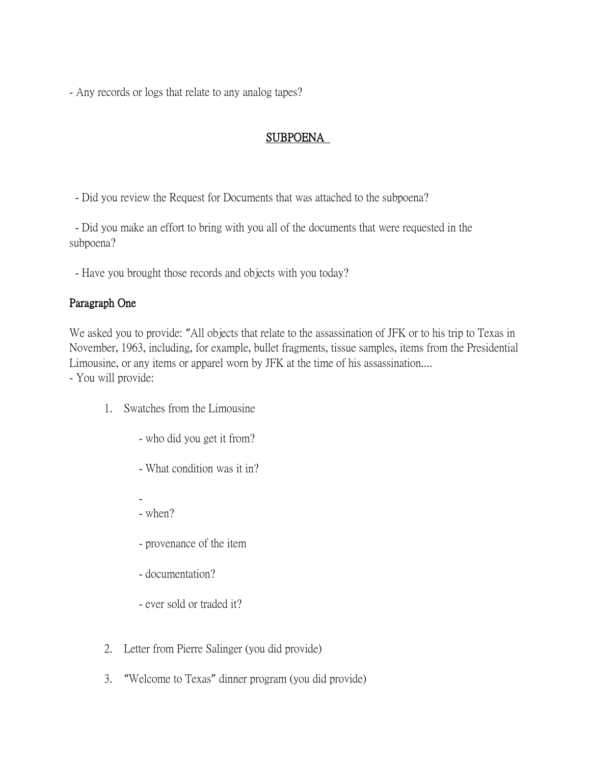- Any records or logs that relate to any analog tapes?

# SUBPOENA

- Did you review the Request for Documents that was attached to the subpoena?

- Did you make an effort to bring with you all of the documents that were requested in the subpoena?

- Have you brought those records and objects with you today?

## Paragraph One

We asked you to provide: "All objects that relate to the assassination of JFK or to his trip to Texas in November, 1963, including, for example, bullet fragments, tissue samples, items from the Presidential Limousine, or any items or apparel worn by JFK at the time of his assassination.... - You will provide:

- 1. Swatches from the Limousine
	- who did you get it from?
	- What condition was it in?
	- - when?
	- provenance of the item
	- documentation?
	- ever sold or traded it?
- 2. Letter from Pierre Salinger (you did provide)
- 3. "Welcome to Texas" dinner program (you did provide)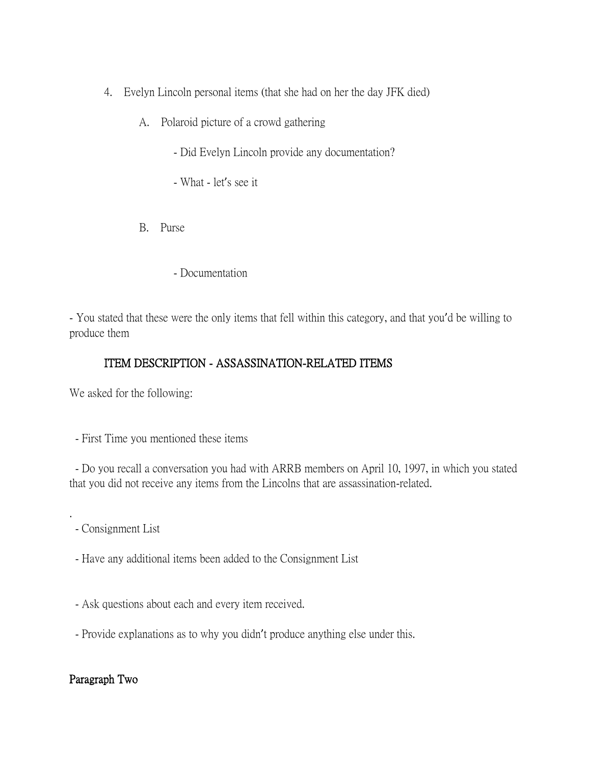- 4. Evelyn Lincoln personal items (that she had on her the day JFK died)
	- A. Polaroid picture of a crowd gathering
		- Did Evelyn Lincoln provide any documentation?
		- What let's see it
	- B. Purse
		- Documentation

- You stated that these were the only items that fell within this category, and that you'd be willing to produce them

# ITEM DESCRIPTION - ASSASSINATION-RELATED ITEMS

We asked for the following:

- First Time you mentioned these items

- Do you recall a conversation you had with ARRB members on April 10, 1997, in which you stated that you did not receive any items from the Lincolns that are assassination-related.

- Consignment List

.

- Have any additional items been added to the Consignment List
- Ask questions about each and every item received.
- Provide explanations as to why you didn't produce anything else under this.

## Paragraph Two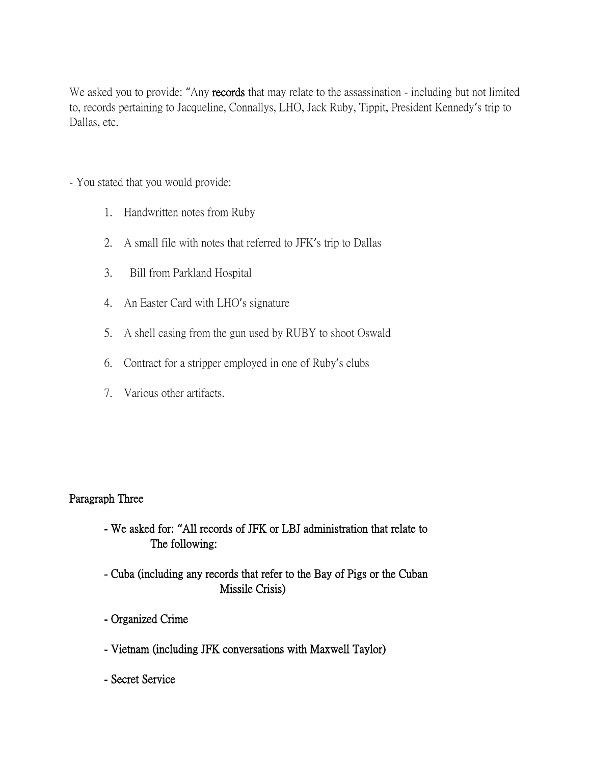We asked you to provide: "Any records that may relate to the assassination - including but not limited to, records pertaining to Jacqueline, Connallys, LHO, Jack Ruby, Tippit, President Kennedy's trip to Dallas, etc.

- You stated that you would provide:
	- 1. Handwritten notes from Ruby
	- 2. A small file with notes that referred to JFK's trip to Dallas
	- 3. Bill from Parkland Hospital
	- 4. An Easter Card with LHO's signature
	- 5. A shell casing from the gun used by RUBY to shoot Oswald
	- 6. Contract for a stripper employed in one of Ruby's clubs
	- 7. Various other artifacts.

## Paragraph Three

- We asked for: **"**All records of JFK or LBJ administration that relate to The following:
- Cuba (including any records that refer to the Bay of Pigs or the Cuban Missile Crisis)
- Organized Crime
- Vietnam (including JFK conversations with Maxwell Taylor)
- Secret Service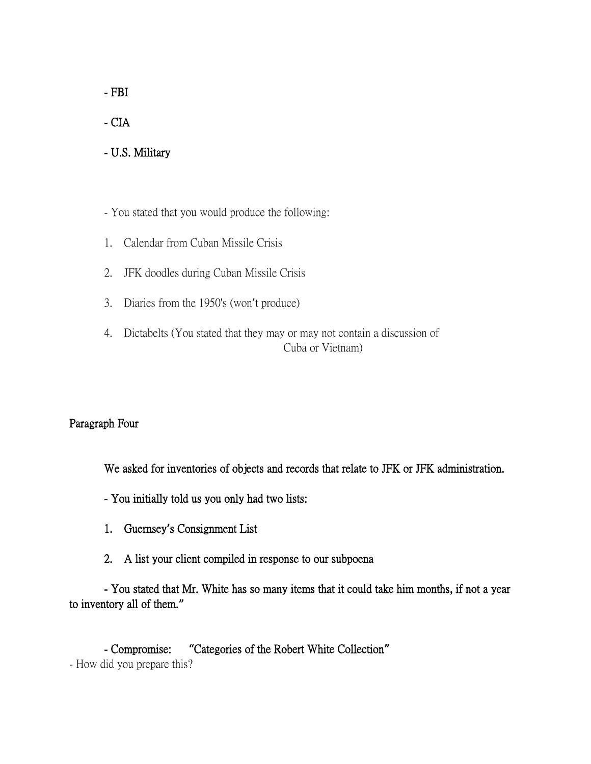- FBI

- CIA

- U.S. Military

- You stated that you would produce the following:

- 1. Calendar from Cuban Missile Crisis
- 2. JFK doodles during Cuban Missile Crisis
- 3. Diaries from the 1950's (won't produce)
- 4. Dictabelts (You stated that they may or may not contain a discussion of Cuba or Vietnam)

#### Paragraph Four

We asked for inventories of objects and records that relate to JFK or JFK administration.

- You initially told us you only had two lists:
- 1. Guernsey**'**s Consignment List
- 2. A list your client compiled in response to our subpoena

- You stated that Mr. White has so many items that it could take him months, if not a year to inventory all of them.**"**

- Compromise: **"**Categories of the Robert White Collection**"** - How did you prepare this?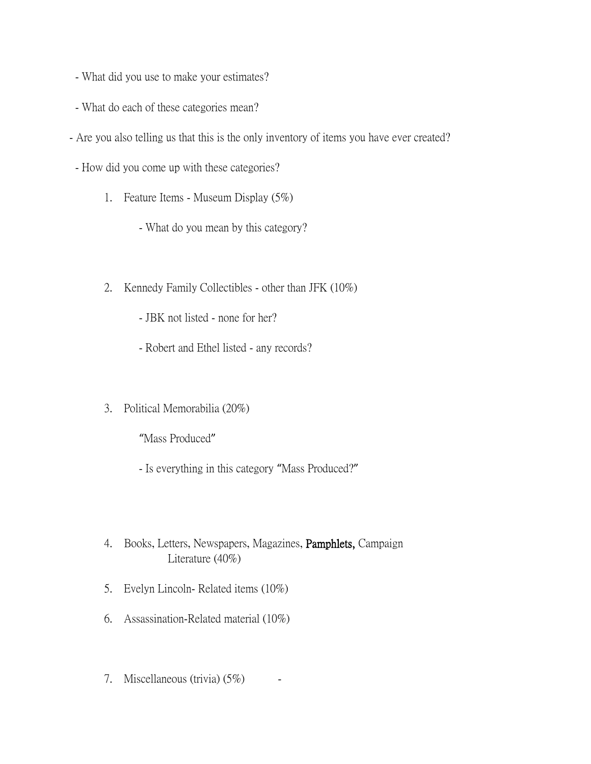- What did you use to make your estimates?
- What do each of these categories mean?
- Are you also telling us that this is the only inventory of items you have ever created?
	- How did you come up with these categories?
		- 1. Feature Items Museum Display (5%)
			- What do you mean by this category?
		- 2. Kennedy Family Collectibles other than JFK (10%)
			- JBK not listed none for her?
			- Robert and Ethel listed any records?
		- 3. Political Memorabilia (20%)

"Mass Produced"

- Is everything in this category "Mass Produced?"
- 4. Books, Letters, Newspapers, Magazines, Pamphlets, Campaign Literature (40%)
- 5. Evelyn Lincoln- Related items (10%)
- 6. Assassination-Related material (10%)
- 7. Miscellaneous (trivia)  $(5\%)$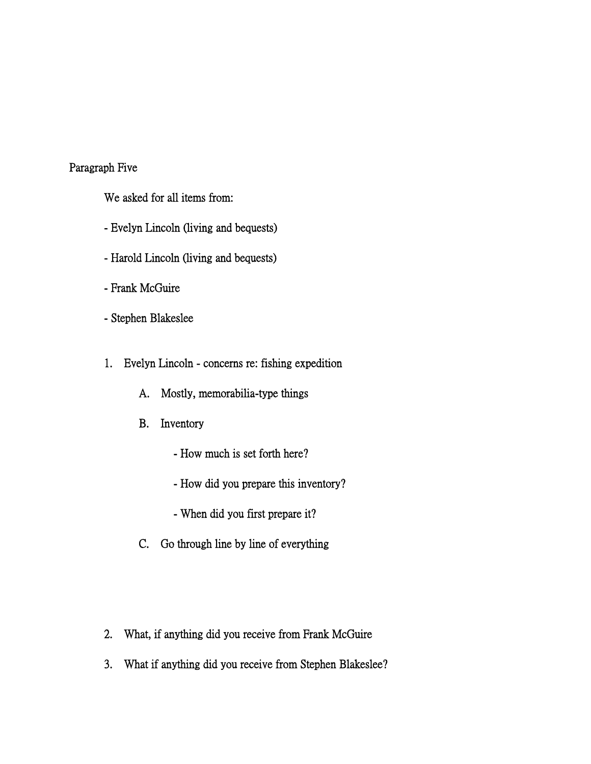# Paragraph Five

We asked for all items from:

- Evelyn Lincoln (living and bequests)
- Harold Lincoln (living and bequests)
- Frank McGuire
- Stephen Blakeslee
- 1. Evelyn Lincoln concerns re: fishing expedition
	- A. Mostly, memorabilia-type things
	- B. Inventory
		- How much is set forth here?
		- How did you prepare this inventory?
		- When did you first prepare it?
	- C. Go through line by line of everything
- 2. What, if anything did you receive from Frank McGuire
- 3. What if anything did you receive from Stephen Blakeslee?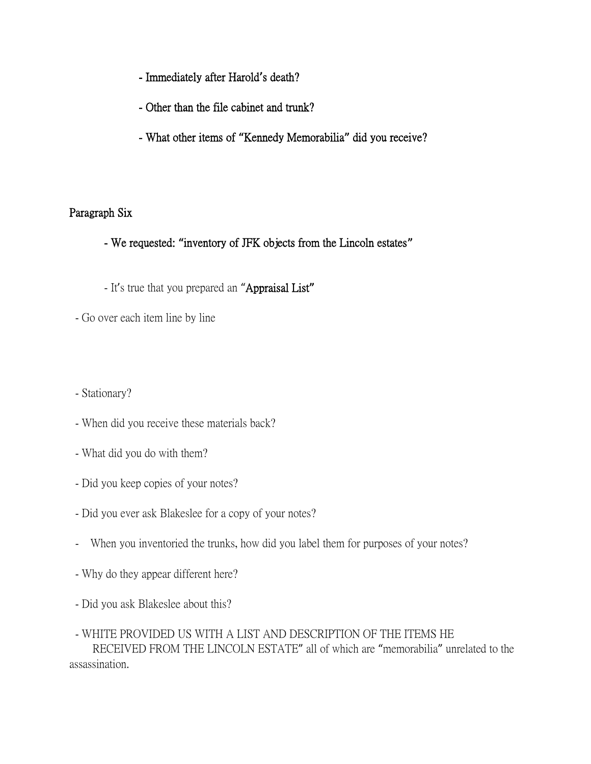- Immediately after Harold**'**s death?
- Other than the file cabinet and trunk?
- What other items of **"**Kennedy Memorabilia**"** did you receive?

### Paragraph Six

- We requested: **"**inventory of JFK objects from the Lincoln estates**"**
- It's true that you prepared an "Appraisal List**"**
- Go over each item line by line
- Stationary?
- When did you receive these materials back?
- What did you do with them?
- Did you keep copies of your notes?
- Did you ever ask Blakeslee for a copy of your notes?
- When you inventoried the trunks, how did you label them for purposes of your notes?
- Why do they appear different here?
- Did you ask Blakeslee about this?
- WHITE PROVIDED US WITH A LIST AND DESCRIPTION OF THE ITEMS HE RECEIVED FROM THE LINCOLN ESTATE" all of which are "memorabilia" unrelated to the assassination.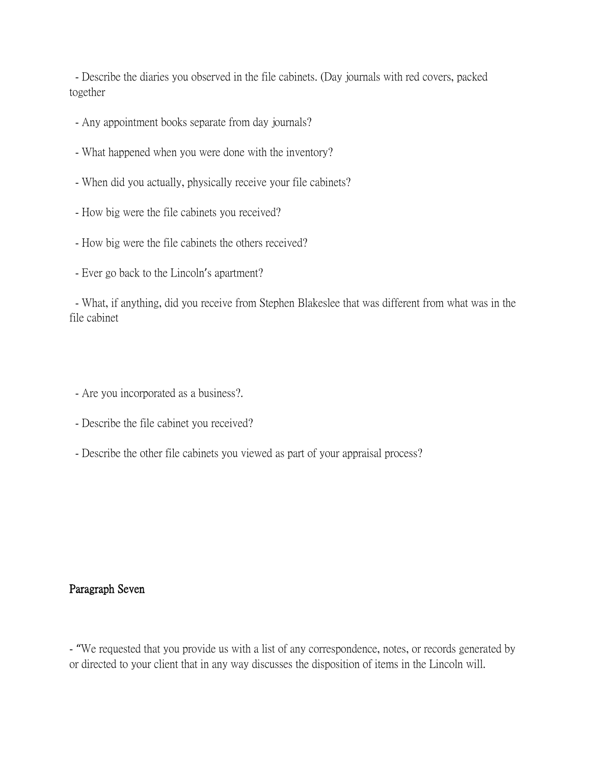- Describe the diaries you observed in the file cabinets. (Day journals with red covers, packed together

- Any appointment books separate from day journals?
- What happened when you were done with the inventory?
- When did you actually, physically receive your file cabinets?
- How big were the file cabinets you received?
- How big were the file cabinets the others received?
- Ever go back to the Lincoln's apartment?

- What, if anything, did you receive from Stephen Blakeslee that was different from what was in the file cabinet

- Are you incorporated as a business?.
- Describe the file cabinet you received?
- Describe the other file cabinets you viewed as part of your appraisal process?

#### Paragraph Seven

- "We requested that you provide us with a list of any correspondence, notes, or records generated by or directed to your client that in any way discusses the disposition of items in the Lincoln will.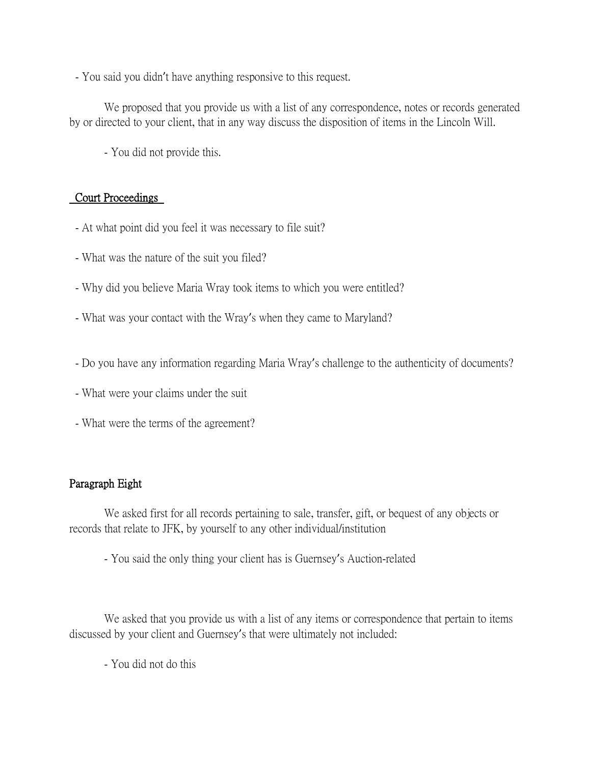- You said you didn't have anything responsive to this request.

We proposed that you provide us with a list of any correspondence, notes or records generated by or directed to your client, that in any way discuss the disposition of items in the Lincoln Will.

- You did not provide this.

## Court Proceedings

- At what point did you feel it was necessary to file suit?
- What was the nature of the suit you filed?
- Why did you believe Maria Wray took items to which you were entitled?
- What was your contact with the Wray's when they came to Maryland?
- Do you have any information regarding Maria Wray's challenge to the authenticity of documents?
- What were your claims under the suit
- What were the terms of the agreement?

## Paragraph Eight

We asked first for all records pertaining to sale, transfer, gift, or bequest of any objects or records that relate to JFK, by yourself to any other individual/institution

- You said the only thing your client has is Guernsey's Auction-related

We asked that you provide us with a list of any items or correspondence that pertain to items discussed by your client and Guernsey's that were ultimately not included:

- You did not do this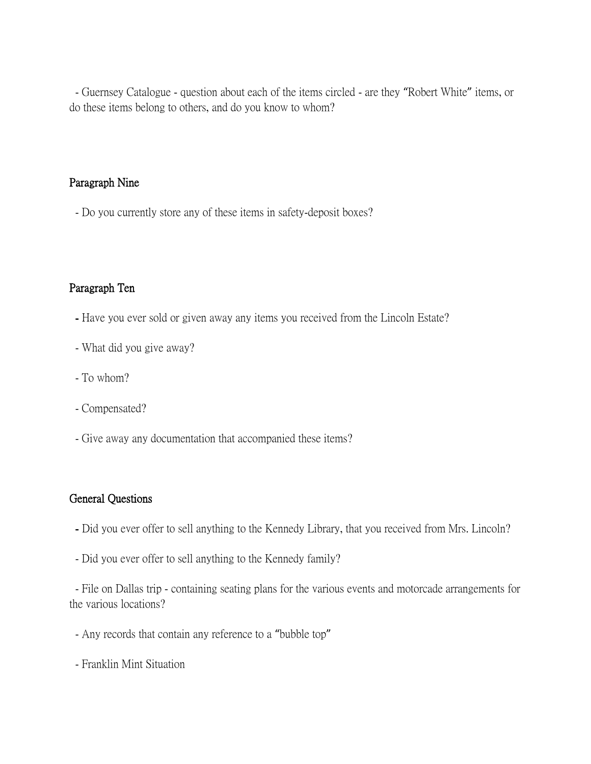- Guernsey Catalogue - question about each of the items circled - are they "Robert White" items, or do these items belong to others, and do you know to whom?

### Paragraph Nine

- Do you currently store any of these items in safety-deposit boxes?

### Paragraph Ten

- Have you ever sold or given away any items you received from the Lincoln Estate?
- What did you give away?
- To whom?
- Compensated?
- Give away any documentation that accompanied these items?

### General Questions

- Did you ever offer to sell anything to the Kennedy Library, that you received from Mrs. Lincoln?
- Did you ever offer to sell anything to the Kennedy family?

- File on Dallas trip - containing seating plans for the various events and motorcade arrangements for the various locations?

- Any records that contain any reference to a "bubble top"
- Franklin Mint Situation